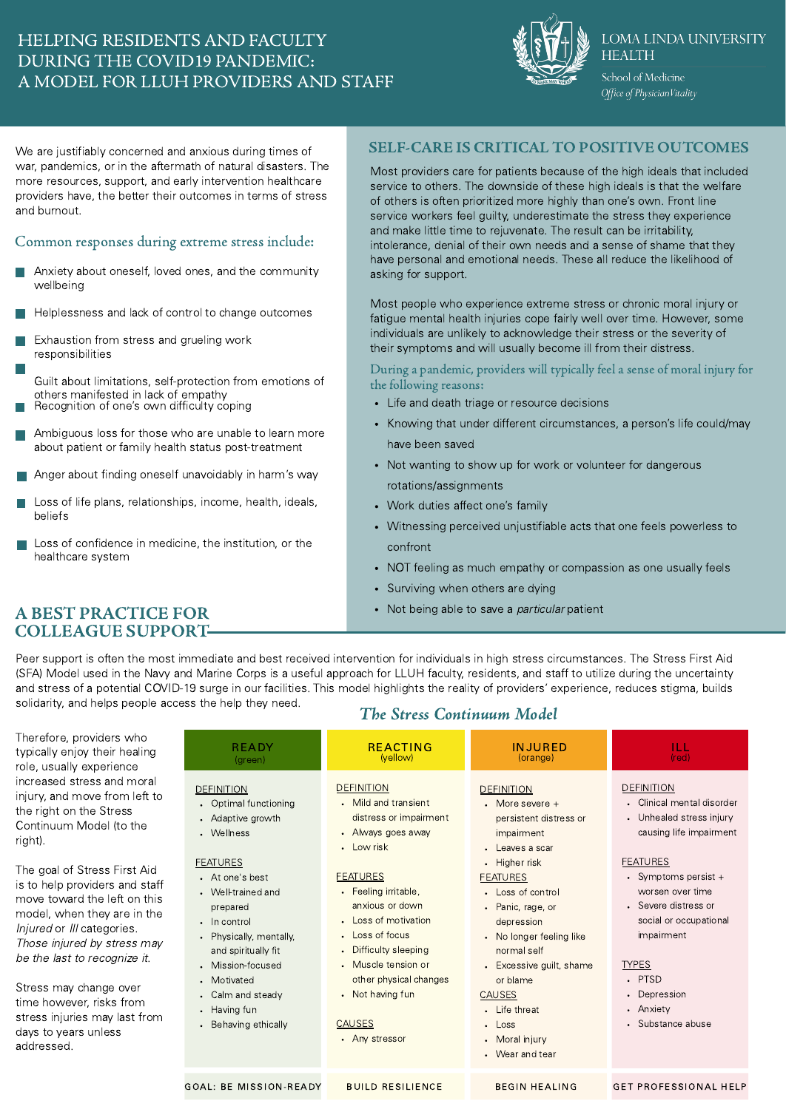## HELPING RESIDENTS AND FACULTY DURING THE COVID19 PANDEMIC: A MODEL FOR LLUH PROVIDERS AND STAFF



#### **LOMA LINDA UNIVERSITY HEALTH**

School of Medicine Office of Physician Vitality

We are justifiably concerned and anxious during times of war, pandemics, or in the aftermath of natural disasters. The more resources, support, and early intervention healthcare providers have, the better their outcomes in terms of stress and burnout.

### Common responses during extreme stress include:

- Anxiety about oneself, loved ones, and the community wellbeing
- Helplessness and lack of control to change outcomes
- Exhaustion from stress and grueling work responsibilities
- Guilt about limitations, self-protection from emotions of others manifested in lack of empathy Recognition of one's own difficulty coping
- Ambiguous loss for those who are unable to learn more about patient or family health status post-treatment
- Anger about finding oneself unavoidably in harm's way
- Loss of life plans, relationships, income, health, ideals, beliefs
- Loss of confidence in medicine, the institution, or the healthcare system

## SELF-CARE IS CRITICAL TO POSITIVE OUTCOMES

Most providers care for patients because of the high ideals that included service to others. The downside of these high ideals is that the welfare of others is often prioritized more highly than one's own. Front line service workers feel guilty, underestimate the stress they experience and make little time to rejuvenate. The result can be irritability, intolerance, denial of their own needs and a sense of shame that they have personal and emotional needs. These all reduce the likelihood of asking for support.

Most people who experience extreme stress or chronic moral injury or fatigue mental health injuries cope fairly well over time. However, some individuals are unlikely to acknowledge their stress or the severity of their symptoms and will usually become ill from their distress.

During a pandemic, providers will typically feel a sense of moral injury for the following reasons:

- Life and death triage or resource decisions
- Knowing that under different circumstances, a person's life could/may have been saved
- Not wanting to show up for work or volunteer for dangerous rotations/assignments
- Work duties affect one's family
- Witnessing perceived unjustifiable acts that one feels powerless to confront
- NOT feeling as much empathy or compassion as one usually feels
- Surviving when others are dying
- 

## A BEST PRACTICE FOR **EXECUTE FOR** Not being able to save a *particular* patient COLLEAGUE SUPPORT

Peer support is often the most immediate and best received intervention for individuals in high stress circumstances. The Stress First Aid (SFA) Model used in the Navy and Marine Corps is a useful approach for LLUH faculty, residents, and staff to utilize during the uncertainty and stress of a potential COVID-19 surge in our facilities. This model highlights the reality of providers' experience, reduces stigma, builds solidarity, and helps people access the help they need.

Therefore, p typically enjo role, usually increased st injury, and n the right on Continuum right).

The goal of is to help pro move towar model, whe Injured or III Those injure be the last t

Stress may time howev stress injurie days to year addressed.

|  |  |  | <b>The Stress Continuum Model</b> |  |
|--|--|--|-----------------------------------|--|
|--|--|--|-----------------------------------|--|

| roviders who<br>oy their healing<br>experience                                                                                                                                                                                                                                | <b>READY</b><br>(green)                                                                                                                                                                                                                                                                                                      | <b>REACTING</b><br>(yellow)                                                                                                                                                                                                                                                                                                     | <b>INJURED</b><br>(orange)                                                                                                                                                                                                                                                                                                               | ILL.<br>(red)                                                                                                                                                                                                                                                                                                       |
|-------------------------------------------------------------------------------------------------------------------------------------------------------------------------------------------------------------------------------------------------------------------------------|------------------------------------------------------------------------------------------------------------------------------------------------------------------------------------------------------------------------------------------------------------------------------------------------------------------------------|---------------------------------------------------------------------------------------------------------------------------------------------------------------------------------------------------------------------------------------------------------------------------------------------------------------------------------|------------------------------------------------------------------------------------------------------------------------------------------------------------------------------------------------------------------------------------------------------------------------------------------------------------------------------------------|---------------------------------------------------------------------------------------------------------------------------------------------------------------------------------------------------------------------------------------------------------------------------------------------------------------------|
| ress and moral<br>hove from left to<br>the Stress<br>Model (to the<br>Stress First Aid<br>oviders and staff<br>d the left on this<br>n they are in the<br>categories.<br>ed by stress may<br>o recognize it.<br>change over<br>er, risks from<br>es may last from<br>s unless | <b>DEFINITION</b><br>Optimal functioning<br>Adaptive growth<br>Wellness<br><b>FEATURES</b><br>• At one's best<br>Well-trained and<br>prepared<br>In control<br>$\bullet$<br>Physically, mentally,<br>$\bullet$<br>and spiritually fit<br>Mission-focused<br>Motivated<br>Calm and steady<br>Having fun<br>Behaving ethically | <b>DEFINITION</b><br>• Mild and transient<br>distress or impairment<br>• Always goes away<br>• Low risk<br><b>FEATURES</b><br>• Feeling irritable,<br>anxious or down<br>• Loss of motivation<br>• Loss of focus<br>• Difficulty sleeping<br>• Muscle tension or<br>other physical changes<br>• Not having fun<br><b>CAUSES</b> | <b>DEFINITION</b><br>$\cdot$ More severe $+$<br>persistent distress or<br>impairment<br>• Leaves a scar<br>• Higher risk<br><b>FEATURES</b><br>• Loss of control<br>• Panic, rage, or<br>depression<br>• No longer feeling like<br>normal self<br>• Excessive guilt, shame<br>or blame<br><b>CAUSES</b><br>• Life threat<br>$\cdot$ Loss | <b>DEFINITION</b><br>• Clinical mental disorder<br>• Unhealed stress injury<br>causing life impairment<br><b>FEATURES</b><br>• Symptoms persist $+$<br>worsen over time<br>• Severe distress or<br>social or occupational<br>impairment<br><b>TYPES</b><br>. PTSD<br>• Depression<br>• Anxiety<br>• Substance abuse |
|                                                                                                                                                                                                                                                                               |                                                                                                                                                                                                                                                                                                                              | • Any stressor                                                                                                                                                                                                                                                                                                                  | • Moral injury<br>• Wear and tear                                                                                                                                                                                                                                                                                                        |                                                                                                                                                                                                                                                                                                                     |
|                                                                                                                                                                                                                                                                               | <b>GOAL: BE MISSION-READY</b>                                                                                                                                                                                                                                                                                                | <b>BUILD RESILIENCE</b>                                                                                                                                                                                                                                                                                                         | <b>BEGIN HEALING</b>                                                                                                                                                                                                                                                                                                                     | <b>GET PROFESSIONAL HELP</b>                                                                                                                                                                                                                                                                                        |